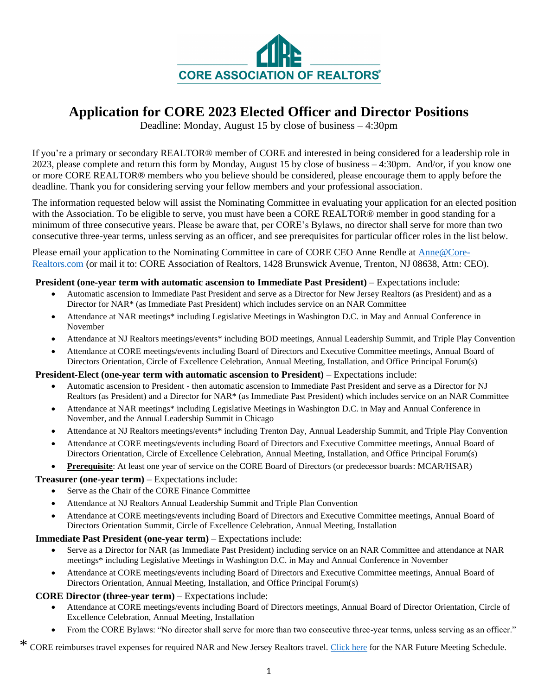

# **Application for CORE 2023 Elected Officer and Director Positions**

Deadline: Monday, August 15 by close of business – 4:30pm

If you're a primary or secondary REALTOR® member of CORE and interested in being considered for a leadership role in 2023, please complete and return this form by Monday, August 15 by close of business – 4:30pm. And/or, if you know one or more CORE REALTOR® members who you believe should be considered, please encourage them to apply before the deadline. Thank you for considering serving your fellow members and your professional association.

The information requested below will assist the Nominating Committee in evaluating your application for an elected position with the Association. To be eligible to serve, you must have been a CORE REALTOR® member in good standing for a minimum of three consecutive years. Please be aware that, per CORE's Bylaws, no director shall serve for more than two consecutive three-year terms, unless serving as an officer, and see prerequisites for particular officer roles in the list below.

Please email your application to the Nominating Committee in care of CORE CEO Anne Rendle at Anne@Core-Realtors.com (or mail it to: CORE Association of Realtors, 1428 Brunswick Avenue, Trenton, NJ 08638, Attn: CEO).

# **President (one-year term with automatic ascension to Immediate Past President)** – Expectations include:

- Automatic ascension to Immediate Past President and serve as a Director for New Jersey Realtors (as President) and as a Director for NAR\* (as Immediate Past President) which includes service on an NAR Committee
- Attendance at NAR meetings\* including Legislative Meetings in Washington D.C. in May and Annual Conference in November
- Attendance at NJ Realtors meetings/events\* including BOD meetings, Annual Leadership Summit, and Triple Play Convention
- Attendance at CORE meetings/events including Board of Directors and Executive Committee meetings, Annual Board of Directors Orientation, Circle of Excellence Celebration, Annual Meeting, Installation, and Office Principal Forum(s)

### **President-Elect (one-year term with automatic ascension to President)** – Expectations include:

- Automatic ascension to President then automatic ascension to Immediate Past President and serve as a Director for NJ Realtors (as President) and a Director for NAR\* (as Immediate Past President) which includes service on an NAR Committee
- Attendance at NAR meetings\* including Legislative Meetings in Washington D.C. in May and Annual Conference in November, and the Annual Leadership Summit in Chicago
- Attendance at NJ Realtors meetings/events\* including Trenton Day, Annual Leadership Summit, and Triple Play Convention
- Attendance at CORE meetings/events including Board of Directors and Executive Committee meetings, Annual Board of Directors Orientation, Circle of Excellence Celebration, Annual Meeting, Installation, and Office Principal Forum(s)
- **Prerequisite**: At least one year of service on the CORE Board of Directors (or predecessor boards: MCAR/HSAR)

# **Treasurer (one-year term)** – Expectations include:

- Serve as the Chair of the CORE Finance Committee
- Attendance at NJ Realtors Annual Leadership Summit and Triple Plan Convention
- Attendance at CORE meetings/events including Board of Directors and Executive Committee meetings, Annual Board of Directors Orientation Summit, Circle of Excellence Celebration, Annual Meeting, Installation

### **Immediate Past President (one-year term)** – Expectations include:

- Serve as a Director for NAR (as Immediate Past President) including service on an NAR Committee and attendance at NAR meetings\* including Legislative Meetings in Washington D.C. in May and Annual Conference in November
- Attendance at CORE meetings/events including Board of Directors and Executive Committee meetings, Annual Board of Directors Orientation, Annual Meeting, Installation, and Office Principal Forum(s)

# **CORE Director (three-year term)** – Expectations include:

- Attendance at CORE meetings/events including Board of Directors meetings, Annual Board of Director Orientation, Circle of Excellence Celebration, Annual Meeting, Installation
- From the CORE Bylaws: "No director shall serve for more than two consecutive three-year terms, unless serving as an officer."

\* CORE reimburses travel expenses for required NAR and New Jersey Realtors travel. Click here for the NAR Future Meeting Schedule.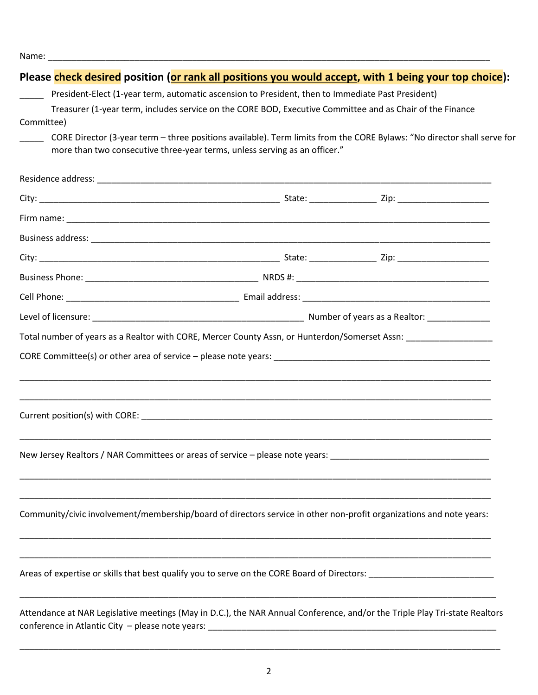|            | Please check desired position (or rank all positions you would accept, with 1 being your top choice):                                                                                                          |  |
|------------|----------------------------------------------------------------------------------------------------------------------------------------------------------------------------------------------------------------|--|
|            | President-Elect (1-year term, automatic ascension to President, then to Immediate Past President)<br>Treasurer (1-year term, includes service on the CORE BOD, Executive Committee and as Chair of the Finance |  |
| Committee) |                                                                                                                                                                                                                |  |
|            | CORE Director (3-year term - three positions available). Term limits from the CORE Bylaws: "No director shall serve for<br>more than two consecutive three-year terms, unless serving as an officer."          |  |
|            |                                                                                                                                                                                                                |  |
|            |                                                                                                                                                                                                                |  |
|            |                                                                                                                                                                                                                |  |
|            |                                                                                                                                                                                                                |  |
|            |                                                                                                                                                                                                                |  |
|            |                                                                                                                                                                                                                |  |
|            |                                                                                                                                                                                                                |  |
|            |                                                                                                                                                                                                                |  |
|            | Total number of years as a Realtor with CORE, Mercer County Assn, or Hunterdon/Somerset Assn: ________________                                                                                                 |  |
|            |                                                                                                                                                                                                                |  |
|            |                                                                                                                                                                                                                |  |
|            |                                                                                                                                                                                                                |  |
|            | New Jersey Realtors / NAR Committees or areas of service – please note years: ________________________________                                                                                                 |  |
|            |                                                                                                                                                                                                                |  |
|            | Community/civic involvement/membership/board of directors service in other non-profit organizations and note years:                                                                                            |  |
|            |                                                                                                                                                                                                                |  |
|            | Attendance at NAR Legislative meetings (May in D.C.), the NAR Annual Conference, and/or the Triple Play Tri-state Realtors                                                                                     |  |

\_\_\_\_\_\_\_\_\_\_\_\_\_\_\_\_\_\_\_\_\_\_\_\_\_\_\_\_\_\_\_\_\_\_\_\_\_\_\_\_\_\_\_\_\_\_\_\_\_\_\_\_\_\_\_\_\_\_\_\_\_\_\_\_\_\_\_\_\_\_\_\_\_\_\_\_\_\_\_\_\_\_\_\_\_\_\_\_\_\_\_\_\_\_\_\_\_\_\_\_